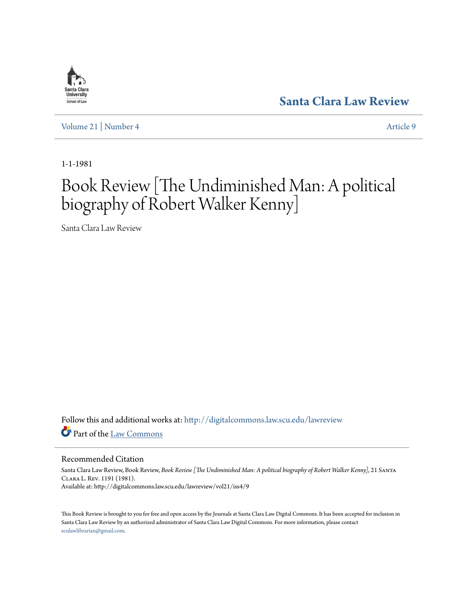## anta Clar **University** School of Law

**[Santa Clara Law Review](http://digitalcommons.law.scu.edu/lawreview?utm_source=digitalcommons.law.scu.edu%2Flawreview%2Fvol21%2Fiss4%2F9&utm_medium=PDF&utm_campaign=PDFCoverPages)**

[Volume 21](http://digitalcommons.law.scu.edu/lawreview/vol21?utm_source=digitalcommons.law.scu.edu%2Flawreview%2Fvol21%2Fiss4%2F9&utm_medium=PDF&utm_campaign=PDFCoverPages) | [Number 4](http://digitalcommons.law.scu.edu/lawreview/vol21/iss4?utm_source=digitalcommons.law.scu.edu%2Flawreview%2Fvol21%2Fiss4%2F9&utm_medium=PDF&utm_campaign=PDFCoverPages) [Article 9](http://digitalcommons.law.scu.edu/lawreview/vol21/iss4/9?utm_source=digitalcommons.law.scu.edu%2Flawreview%2Fvol21%2Fiss4%2F9&utm_medium=PDF&utm_campaign=PDFCoverPages)

1-1-1981

# Book Review [The Undiminished Man: A political biography of Robert Walker Kenny]

Santa Clara Law Review

Follow this and additional works at: [http://digitalcommons.law.scu.edu/lawreview](http://digitalcommons.law.scu.edu/lawreview?utm_source=digitalcommons.law.scu.edu%2Flawreview%2Fvol21%2Fiss4%2F9&utm_medium=PDF&utm_campaign=PDFCoverPages) Part of the [Law Commons](http://network.bepress.com/hgg/discipline/578?utm_source=digitalcommons.law.scu.edu%2Flawreview%2Fvol21%2Fiss4%2F9&utm_medium=PDF&utm_campaign=PDFCoverPages)

Recommended Citation

Santa Clara Law Review, Book Review, *Book Review [The Undiminished Man: A political biography of Robert Walker Kenny]*, 21 Santa Clara L. Rev. 1191 (1981). Available at: http://digitalcommons.law.scu.edu/lawreview/vol21/iss4/9

This Book Review is brought to you for free and open access by the Journals at Santa Clara Law Digital Commons. It has been accepted for inclusion in Santa Clara Law Review by an authorized administrator of Santa Clara Law Digital Commons. For more information, please contact [sculawlibrarian@gmail.com](mailto:sculawlibrarian@gmail.com).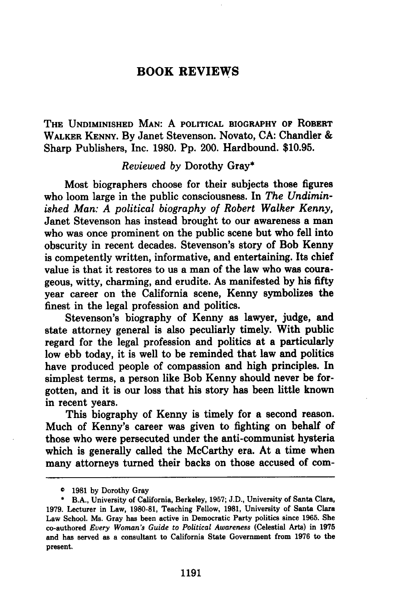### **BOOK REVIEWS**

THE UNDIMINISHED **MAN: A** POLITICAL BIOGRAPHY OF ROBERT WALKER **KENNY. By** Janet Stevenson. Novato, **CA:** Chandler **&** Sharp Publishers, Inc. **1980. Pp.** 200. Hardbound. **\$10.95.**

#### *Reviewed by* Dorothy Gray\*

Most biographers choose for their subjects those figures who loom large in the public consciousness. In *The Undiminished Man: A political biography of Robert Walker Kenny,* Janet Stevenson has instead brought to our awareness a man who was once prominent on the public scene but who fell into obscurity in recent decades. Stevenson's story of Bob Kenny is competently written, informative, and entertaining. Its chief value is that it restores to us a man of the law who was courageous, witty, charming, and erudite. As manifested **by** his fifty year career on the California scene, Kenny symbolizes the finest in the legal profession and politics.

Stevenson's biography of Kenny as lawyer, judge, and state attorney general is also peculiarly timely. With public regard for the legal profession and politics at a particularly low ebb today, it is well to be reminded that law and politics have produced people of compassion and high principles. In simplest terms, a person like Bob Kenny should never be forgotten, and it is our loss that his story has been little known in recent years.

This biography of Kenny is timely for a second reason. Much of Kenny's career was given to fighting on behalf of those who were persecuted under the anti-communist hysteria which is generally called the McCarthy era. At a time when many attorneys turned their backs on those accused of com-

<sup>O</sup>**1981 by** Dorothy Gray

**<sup>\*</sup>** B.A., University of California, Berkeley, **1957; J.D.,** University of Santa Clara, **1979.** Lecturer in Law, **1980-81,** Teaching Fellow, **1981,** University of Santa Clara Law School. Ms. Gray has been active in Democratic Party politics since **1965.** She co-authored *Every Woman's Guide to Political Awareness* (Celestial Arts) in **1975** and has served as a consultant to California State Government from **1976** to the present.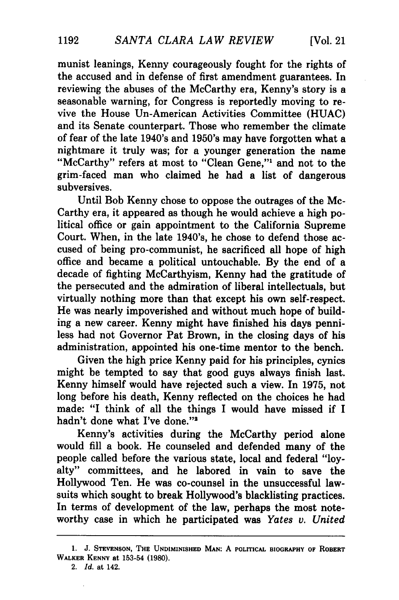munist leanings, Kenny courageously fought for the rights of the accused and in defense of first amendment guarantees. In reviewing the abuses of the McCarthy era, Kenny's story is a seasonable warning, for Congress is reportedly moving to revive the House Un-American Activities Committee **(HUAC)** and its Senate counterpart. Those who remember the climate of fear of the late 1940's and 1950's may have forgotten what a nightmare it truly was; for a younger generation the name "McCarthy" refers at most to "Clean Gene,"' and not to the grim-faced man who claimed he had a list of dangerous subversives.

Until Bob Kenny chose to oppose the outrages of the Mc-Carthy era, it appeared as though he would achieve a high political office or gain appointment to the California Supreme Court. When, in the late 1940's, he chose to defend those accused of being pro-communist, he sacrificed all hope of high office and became a political untouchable. **By** the end of a decade of fighting McCarthyism, Kenny had the gratitude of the persecuted and the admiration of liberal intellectuals, but virtually nothing more than that except his own self-respect. He was nearly impoverished and without much hope of building a new career. Kenny might have finished his days penniless had not Governor Pat Brown, in the closing days of his administration, appointed his one-time mentor to the bench.

Given the high price Kenny paid for his principles, cynics might be tempted to say that good guys always finish last. Kenny himself would have rejected such a view. In **1975,** not long before his death, Kenny reflected on the choices he had made: "I think of all the things **I** would have missed if **I** hadn't done what I've done."<sup>2</sup>

Kenny's activities during the McCarthy period alone would **fill** a book. He counseled and defended many of the people called before the various state, local and federal "loyalty" committees, and he labored in vain to save the Hollywood Ten. He was co-counsel in the unsuccessful lawsuits which sought to break Hollywood's blacklisting practices. In terms of development of the law, perhaps the most noteworthy case in which he participated was *Yates v. United*

**<sup>1.</sup> J. STEVENSON, THE UNDIMINISHED MAN: A POLITICAL BIOGRAPHY OF ROBERT WALKER KENNY at** 153-54 **(1980).**

<sup>2.</sup> *Id.* **at** 142.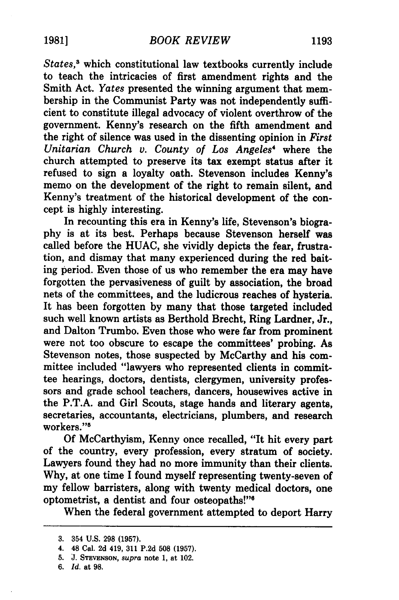*States,3* which constitutional law textbooks currently include to teach the intricacies of first amendment rights and the Smith Act. *Yates* presented the winning argument that membership in the Communist Party was not independently sufficient to constitute illegal advocacy of violent overthrow of the government. Kenny's research on the fifth amendment and the right of silence was used in the dissenting opinion in *First Unitarian Church v. County of Los Angeles4* where the church attempted to preserve its tax exempt status after it refused to sign a loyalty oath. Stevenson includes Kenny's memo on the development of the right to remain silent, and Kenny's treatment of the historical development of the concept is highly interesting.

In recounting this era in Kenny's life, Stevenson's biogra**phy** is at its best. Perhaps because Stevenson herself was called before the **HUAC,** she vividly depicts the fear, frustration, and dismay that many experienced during the red baiting period. Even those of us who remember the era may have forgotten the pervasiveness of guilt **by** association, the broad nets of the committees, and the ludicrous reaches of hysteria. It has been forgotten **by** many that those targeted included such well known artists as Berthold Brecht, Ring Lardner, Jr., and Dalton Trumbo. Even those who were far from prominent were not too obscure to escape the committees' probing. As Stevenson notes, those suspected **by** McCarthy and his committee included "lawyers who represented clients in committee hearings, doctors, dentists, clergymen, university professors and grade school teachers, dancers, housewives active in the P.T.A. and Girl Scouts, stage hands and literary agents, secretaries, accountants, electricians, plumbers, and research workers."'

**Of** McCarthyism, Kenny once recalled, "It hit every part of the country, every profession, every stratum of society. Lawyers found they had no more immunity than their clients. **Why,** at one time **I** found myself representing twenty-seven of my fellow barristers, along with twenty medical doctors, one optometrist, a dentist and four osteopaths!"'

When the federal government attempted to deport Harry

**<sup>3.</sup>** 354 **U.S. 298 (1957).**

<sup>4. 48</sup> Cal. **2d** 419, **311 P.2d 508 (1957).**

**<sup>5.</sup> J. STEVENSON,** *supra* note **1,** at 102.

**<sup>6.</sup>** *Id.* at **98.**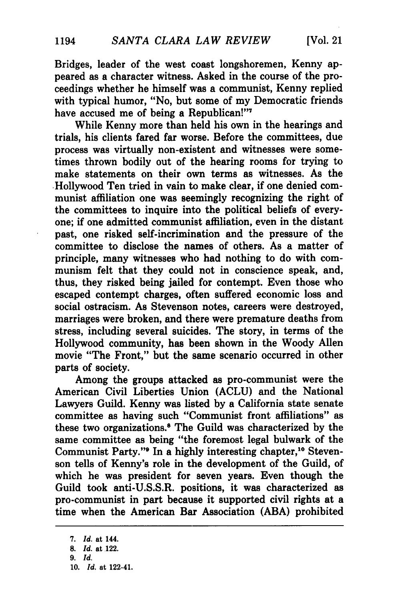Bridges, leader of the west coast longshoremen, Kenny appeared as a character witness. Asked in the course of the proceedings whether he himself was a communist, Kenny replied with typical humor, "No, but some of my Democratic friends have accused me of being a Republican!"7

While Kenny more than held his own in the hearings and trials, his clients fared far worse. Before the committees, due process was virtually non-existent and witnesses were sometimes thrown bodily out of the hearing rooms for trying to make statements on their own terms as witnesses. As the Hollywood Ten tried in vain to make clear, if one denied communist affiliation one was seemingly recognizing the right of the committees to inquire into the political beliefs of everyone; if one admitted communist affiliation, even in the distant past, one risked self-incrimination and the pressure of the committee to disclose the names of others. As a matter of principle, many witnesses who had nothing to do with communism felt that they could not in conscience speak, and, thus, they risked being jailed for contempt. Even those who escaped contempt charges, often suffered economic loss and social ostracism. As Stevenson notes, careers were destroyed, marriages were broken, and there were premature deaths from stress, including several suicides. The story, in terms of the Hollywood community, has been shown in the Woody Allen movie "The Front," but the same scenario occurred in other parts of society.

Among the groups attacked as pro-communist were the American Civil Liberties Union **(ACLU)** and the National Lawyers Guild. Kenny was listed **by** a California state senate committee as having such "Communist front affiliations" as these two organizations.8 The Guild was characterized **by** the same committee as being "the foremost legal bulwark of the Communist Party."<sup>9</sup> In a highly interesting chapter,<sup>10</sup> Stevenson tells of Kenny's role in the development of the Guild, of which he was president for seven years. Even though the Guild took anti-U.S.S.R. positions, it was characterized as pro-communist in part because it supported civil rights at a time when the American Bar Association **(ABA)** prohibited

**<sup>7.</sup>** *Id.* at 144.

**<sup>8.</sup>** *Id.* at 122.

*<sup>9.</sup> Id.*

**<sup>10.</sup>** Id. at 122-41.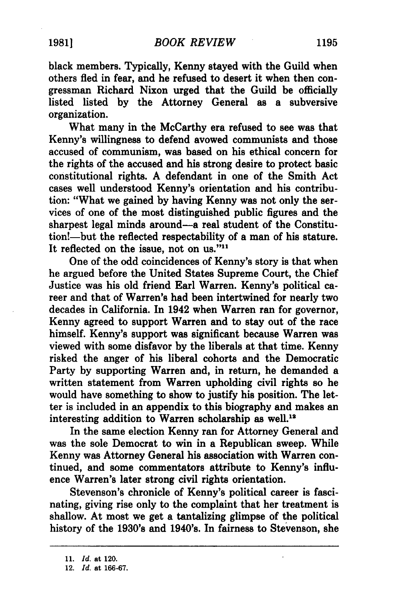black members. Typically, Kenny stayed with the Guild when others fled in fear, and he refused to desert it when then congressman Richard Nixon urged that the Guild be officially listed listed by the Attorney General as a subversive organization.

What many in the McCarthy era refused to see was that Kenny's willingness to defend avowed communists and those accused of communism, was based on his ethical concern for the rights of the accused and his strong desire to protect basic constitutional rights. A defendant in one of the Smith Act cases well understood Kenny's orientation and his contribution: "What we gained by having Kenny was not only the services of one of the most distinguished public figures and the sharpest legal minds around-a real student of the Constitution!--but the reflected respectability of a man of his stature. It reflected on the issue, not on us."11

One of the odd coincidences of Kenny's story is that when he argued before the United States Supreme Court, the Chief Justice was his old friend Earl Warren. Kenny's political career and that of Warren's had been intertwined for nearly two decades in California. In 1942 when Warren ran for governor, Kenny agreed to support Warren and to stay out of the race himself. Kenny's support was significant because Warren was viewed with some disfavor by the liberals at that time. Kenny risked the anger of his liberal cohorts and the Democratic Party by supporting Warren and, in return, he demanded a written statement from Warren upholding civil rights so he would have something to show to justify his position. The letter is included in an appendix to this biography and makes an interesting addition to Warren scholarship as well.<sup>12</sup>

In the same election Kenny ran for Attorney General and was the sole Democrat to win in a Republican sweep. While Kenny was Attorney General his association with Warren continued, and some commentators attribute to Kenny's influence Warren's later strong civil rights orientation.

Stevenson's chronicle of Kenny's political career is fascinating, giving rise only to the complaint that her treatment is shallow. At most we get a tantalizing glimpse of the political history of the 1930's and 1940's. In fairness to Stevenson, she

**<sup>11.</sup>** *Id.* at 120.

<sup>12.</sup> *Id.* at **166-67.**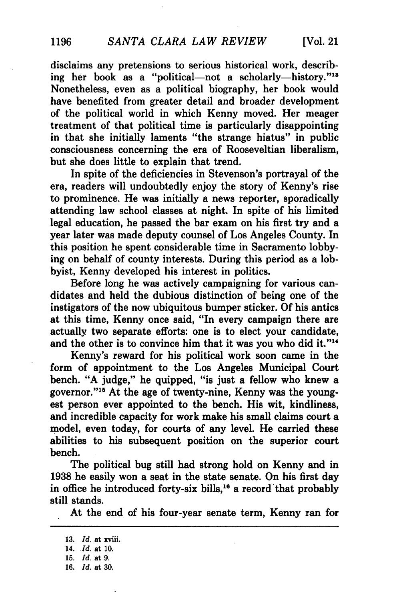disclaims any pretensions to serious historical work, describing her book as a "political-not a scholarly-history."<sup>18</sup> Nonetheless, even as a political biography, her book would have benefited from greater detail and broader development of the political world in which Kenny moved. Her meager treatment of that political time is particularly disappointing in that she initially laments "the strange hiatus" in public consciousness concerning the era of Rooseveltian liberalism, but she does little to explain that trend.

In spite of the deficiencies in Stevenson's portrayal of the era, readers will undoubtedly enjoy the story of Kenny's rise to prominence. He was initially a news reporter, sporadically attending law school classes at night. In spite of his limited legal education, he passed the bar exam on his first try and a year later was made deputy counsel of Los Angeles County. In this position he spent considerable time in Sacramento lobbying on behalf of county interests. During this period as a lobbyist, Kenny developed his interest in politics.

Before long he was actively campaigning for various candidates and held the dubious distinction of being one of the instigators of the now ubiquitous bumper sticker. **Of** his antics at this time, Kenny once said, "In every campaign there are actually two separate efforts: one is to elect your candidate, and the other is to convince him that it was you who did it."<sup>14</sup>

Kenny's reward for his political work soon came in the form of appointment to the Los Angeles Municipal Court bench. "A judge," he quipped, "is just a fellow who knew a governor."<sup>15</sup> At the age of twenty-nine, Kenny was the youngest person ever appointed to the bench. His wit, kindliness, and incredible capacity for work make his small claims court a model, even today, for courts of any level. He carried these abilities to his subsequent position on the superior court bench.

The political bug still had strong hold on Kenny and in 1938 he easily won a seat in the state senate. On his first day in office he introduced forty-six bills,<sup>16</sup> a record that probably still stands.

At the end of his four-year senate term, Kenny ran for

**<sup>13.</sup>** *Id.* at xviii.

<sup>14.</sup> Id. at **10.**

**<sup>15.</sup>** Id. at **9.**

<sup>16.</sup> *Id.* at 30.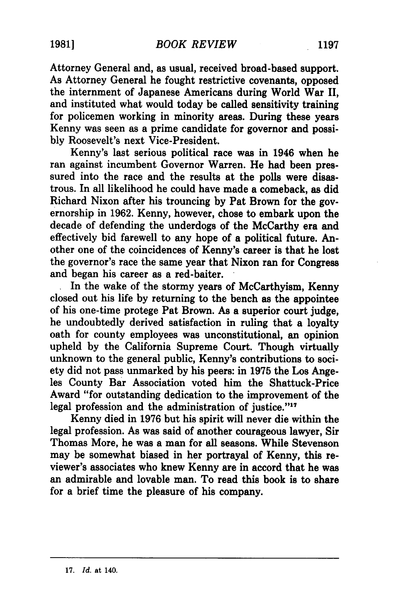Attorney General and, as usual, received broad-based support. As Attorney General he fought restrictive covenants, opposed the internment of Japanese Americans during World War II, and instituted what would today be called sensitivity training for policemen working in minority areas. During these years Kenny was seen as a prime candidate for governor and possibly Roosevelt's next Vice-President.

Kenny's last serious political race was in 1946 when he ran against incumbent Governor Warren. He had been pressured into the race and the results at the polls were disastrous. In all likelihood he could have made a comeback, as did Richard Nixon after his trouncing by Pat Brown for the governorship in **1962.** Kenny, however, chose to embark upon the decade of defending the underdogs of the McCarthy era and effectively bid farewell to any hope of a political future. Another one of the coincidences of Kenny's career is that he lost the governor's race the same year that Nixon ran for Congress and began his career as a red-baiter.

In the wake of the stormy years of McCarthyism, Kenny closed out his life by returning to the bench as the appointee of his one-time protege Pat Brown. As a superior court judge, he undoubtedly derived satisfaction in ruling that a loyalty oath for county employees was unconstitutional, an opinion upheld by the California Supreme Court. Though virtually unknown to the general public, Kenny's contributions to society did not pass unmarked by his peers: in 1975 the Los Angeles County Bar Association voted him the Shattuck-Price Award "for outstanding dedication to the improvement of the legal profession and the administration of justice."<sup>17</sup>

Kenny died in 1976 but his spirit will never die within the legal profession. As was said of another courageous lawyer, Sir Thomas More, he was a man for all seasons. While Stevenson may be somewhat biased in her portrayal of Kenny, this reviewer's associates who knew Kenny are in accord that he was an admirable and lovable man. To read this book is to share for a brief time the pleasure of his company.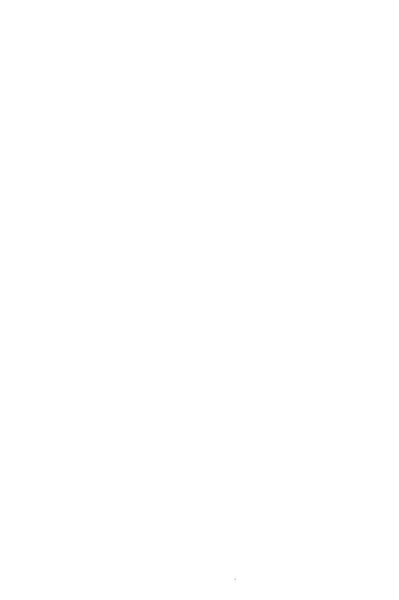$\mathcal{L}^{\text{max}}_{\text{max}}$  and  $\mathcal{L}^{\text{max}}_{\text{max}}$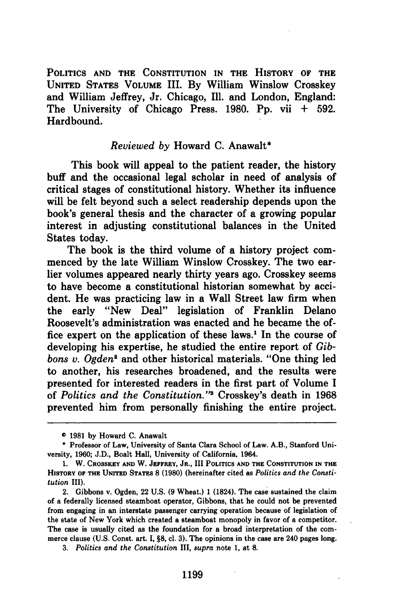**POLITICS AND THE CONSTITUTION IN THE HISTORY OF THE UNITED STATES VOLUME** III. **By** William Winslow Crosskey and William Jeffrey, Jr. Chicago, **Ill.** and London, England: The University of Chicago Press. **1980. Pp.** vii **+ 592.** Hardbound.

#### *Reviewed by* Howard **C.** Anawalt\*

This book will appeal to the patient reader, the history buff and the occasional legal scholar in need of analysis of critical stages of constitutional history. Whether its influence will be felt beyond such a select readership depends upon the book's general thesis and the character of a growing popular interest in adjusting constitutional balances in the United States today.

The book is the third volume of a history project commenced **by** the late William Winslow Crosskey. The two earlier volumes appeared nearly thirty years ago. Crosskey seems to have become a constitutional historian somewhat **by** accident. He was practicing law in a Wall Street law firm when the early "New Deal" legislation of Franklin Delano Roosevelt's administration was enacted and he became the office expert on the application of these laws.<sup>1</sup> In the course of developing his expertise, he studied the entire report of *Gibbons v. Ogden2* and other historical materials. "One thing led to another, his researches broadened, and the results were presented for interested readers in the first part of Volume I of *Politics and the Constitution.'* Crosskey's death in 1968 prevented him from personally finishing the entire project.

**o 1981** by Howard C. Anawalt

<sup>\*</sup> Professor of Law, University of Santa Clara School of Law. A.B., Stanford University, 1960; J.D., Boalt Hall, University of California, 1964.

**<sup>1.</sup>** W. **CROSSKEY AND** W. **JEFFREY, JR., III POLITICS AND THE CONSTITUTION IN THE HISTORY OF THE UNITED STATES 8 (1980)** (hereinafter cited as *Politics and the Constitution* III).

<sup>2.</sup> Gibbons v. Ogden, 22 **U.S. (9** Wheat.) **1** (1824). The case sustained the claim of a federally licensed steamboat operator, Gibbons, that he could not be prevented from engaging in an interstate passenger carrying operation because of legislation of the state of New York which created a steamboat monopoly **in favor of a competitor.** The case is usually cited as the foundation for a broad interpretation of the commerce clause **(U.S.** Const. art. **I, §8, cl. 3).** The opinions in the case are 240 **pages long.**

*<sup>3.</sup> Politics and the Constitution* **III,** *supra* note **1,** at **8.**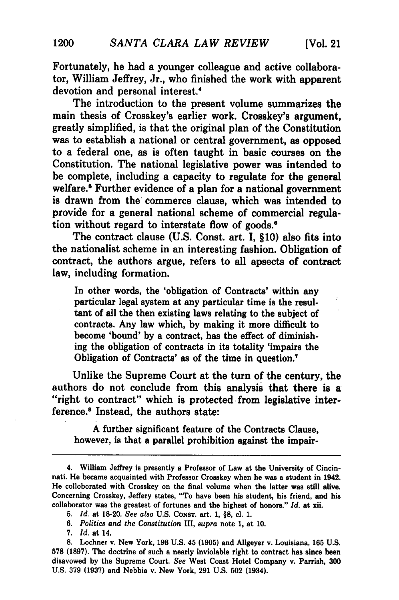Fortunately, he had a younger colleague and active collaborator, William Jeffrey, Jr., who finished the work with apparent devotion and personal interest.'

The introduction to the present volume summarizes the main thesis of Crosskey's earlier work. Crosskey's argument, greatly simplified, is that the original plan of the Constitution was to establish a national or central government, as opposed to a federal one, as is often taught in basic courses on the Constitution. The national legislative power was intended to be complete, including a capacity to regulate for the general welfare.' Further evidence of a plan for a national government is drawn from the commerce clause, which was intended to provide for a general national scheme of commercial regulation without regard to interstate flow of goods.<sup>6</sup>

The contract clause (U.S. Const. art. I, **§10)** also fits into the nationalist scheme in an interesting fashion. Obligation of contract, the authors argue, refers to all apsects of contract law, including formation.

In other words, the 'obligation of Contracts' within any particular legal system at any particular time is the resultant of all the then existing laws relating to the subject of contracts. Any law which, by making it more difficult to become 'bound' by a contract, has the effect of diminishing the obligation of contracts in its totality 'impairs the Obligation of Contracts' as of the time in question.'

Unlike the Supreme Court at the turn of the century, the authors do not conclude from this analysis that there is a "right to contract" which is protected from legislative interference.' Instead, the authors state:

A further significant feature of the Contracts Clause, however, is that a parallel prohibition against the impair-

<sup>4.</sup> William Jeffrey is presently a Professor of Law at the University of Cincinnati. He became acquainted with Professor Crosskey when he was a student in 1942. He colloborated with Crosskey on the final volume when the latter was still alive. Concerning Crosskey, Jeffery states, "To have been his student, his friend, and his collaborator was the greatest of fortunes and the highest of honors." *Id.* at xii.

*<sup>5.</sup> Id.* at 18-20. *See also* U.S. CONST. art. 1, **§8, cl.** 1.

*<sup>6.</sup> Politics and the Constitution* III, *supra* note 1, at 10.

<sup>7.</sup> *Id.* at 14.

**<sup>8.</sup>** Lochner v. New York, **198** U.S. 45 **(1905)** and Allgeyer v. Louisiana, **165** U.S. **578 (1897).** The doctrine of such a nearly inviolable right to contract has since been disavowed by the Supreme Court. *See* West Coast Hotel Company v. Parrish, **300** U.S. **379 (1937)** and Nebbia v. New York, **291** U.S. 502 (1934).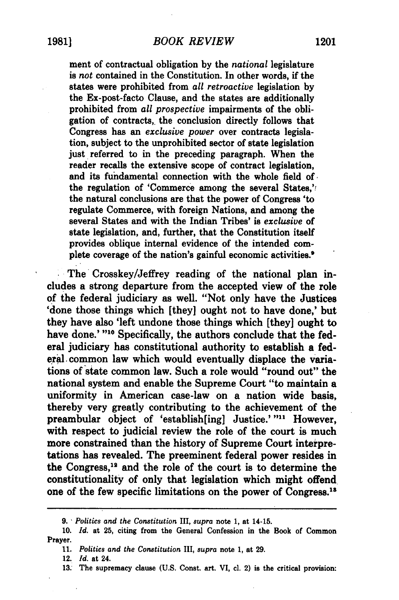ment of contractual obligation **by** the *national* legislature is *not* contained in the Constitution. In other words, if the states were prohibited from *all retroactive* legislation by the Ex-post-facto Clause, and the states are additionally prohibited from *all prospective* impairments of the obligation of contracts, the conclusion directly follows that Congress has an *exclusive power* over contracts legislation, subject to the unprohibited sector of state legislation just referred to in the preceding paragraph. When the reader recalls the extensive scope of contract legislation, and its fundamental connection with the whole field of. the regulation of 'Commerce among the several States,'! the natural conclusions are that the power of Congress 'to regulate Commerce, with foreign Nations, and among the several States and with the Indian Tribes' is *exclusive* of state legislation, and, further, that the Constitution itself provides oblique internal evidence of the intended complete coverage of the nation's gainful economic activities.'

The Crosskey/Jeffrey reading of the national plan includes a strong departure from the accepted view of the role **of** the federal judiciary as well. "Not only have the Justices 'done those things which [they] ought not to have done,' but they have also 'left undone those things which [they] ought to have done.' **"10** Specifically, the authors conclude that the federal judiciary has constitutional authority to establish a federal common law which would eventually displace the variations of state common law. Such a role would "round out" the national system and enable the Supreme Court "to maintain a uniformity in American case-law on a nation wide basis, thereby very greatly contributing to the achievement of the preambular object of 'establish[ing] Justice.' "<sup>11</sup> However, with respect to judicial review the role of the court is much more constrained than the history of Supreme Court interpretations has revealed. The preeminent federal power resides in the Congress,<sup>12</sup> and the role of the court is to determine the constitutionality of only that legislation which might offend one of the few specific limitations on the power of Congress.<sup>13</sup>

**13.** The supremacy clause **(U.S.** Const. art. VI, **cl.** 2) is the critical provision:

**<sup>9.</sup>** *Politics and the Constitution* III, *supra* note **1,** at 14-15.

**<sup>10.</sup>** *Id.* at **25,** citing from the General Confession in the Book of Common Prayer.

**<sup>11.</sup>** *Politics and the Constitution* III, *supra* note 1, at **29.**

<sup>12.</sup> *Id.* at 24.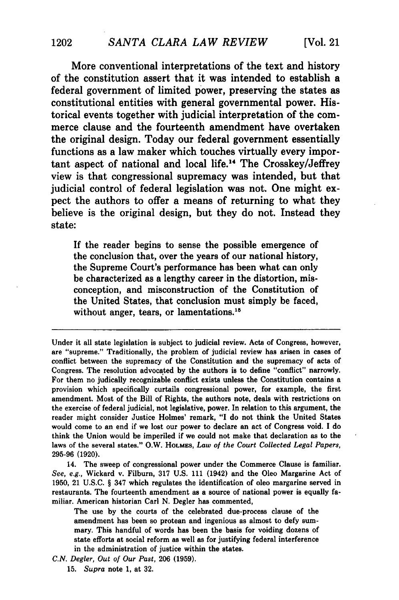More conventional interpretations of the text and history of the constitution assert that it was intended to establish a federal government of limited power, preserving the states as constitutional entities with general governmental power. Historical events together with judicial interpretation of the commerce clause and the fourteenth amendment have overtaken the original design. Today our federal government essentially functions as a law maker which touches virtually every important aspect of national and local life.<sup>14</sup> The Crosskey/Jeffrey view is that congressional supremacy was intended, but that judicial control of federal legislation was not. One might expect the authors to offer a means of returning to what they believe is the original design, but they do not. Instead they state:

If the reader begins to sense the possible emergence of the conclusion that, over the years of our national history, the Supreme Court's performance has been what can only be characterized as a lengthy career in the distortion, misconception, and misconstruction of the Constitution of the United States, that conclusion must simply be faced, without anger, tears, or lamentations.<sup>15</sup>

*C.N. Degler, Out of* Our *Past,* 206 (1959).

Under it all state legislation is subject to judicial review. Acts of Congress, however, are "supreme." Traditionally, the problem of judicial review has arisen in cases of conflict between the supremacy of the Constitution and the supremacy of acts of Congress. The resolution advocated by the authors is to define "conflict" narrowly. For them no judically recognizable conflict exists unless the Constitution contains a provision which specifically curtails congressional power, for example, the first amendment. Most of the Bill of Rights, the authors note, deals with restrictions on the exercise of federal judicial, not legislative, power. In relation to this argument, the reader might consider Justice Holmes' remark, "I do not think the United States would come to an end if we lost our power to declare an act of Congress void. I do think the Union would be imperiled if we could not make that declaration as to the laws of the several states." O.W. **HOLMES,** *Law of the Court Collected Legal Papers,* 295-96 (1920).

<sup>14.</sup> The sweep of congressional power under the Commerce Clause is familiar. *See, e.g.,* Wickard v. Filburn, 317 U.S. 111 (1942) and the Oleo Margarine Act of 1950, 21 U.S.C. § 347 which regulates the identification of oleo margarine served in restaurants. The fourteenth amendment as a source of national power is equally familiar. American historian Carl N. Degler has commented,

The use by the courts of the celebrated due-process clause of the amendment has been so protean and ingenious as almost to defy summary. This handful of words has been the basis for voiding dozens of state efforts at social reform as well as for justifying federal interference in the administration of justice within the states.

<sup>15.</sup> Supra note 1, at 32.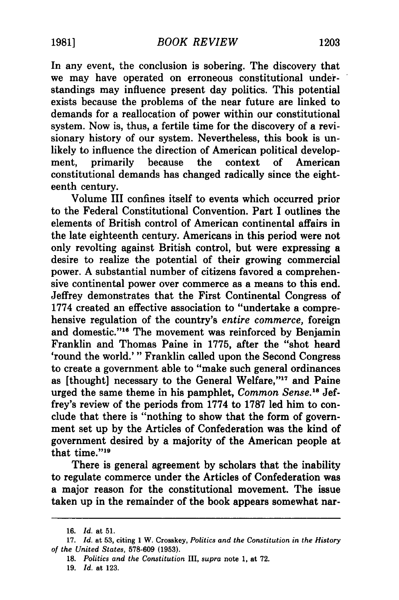In any event, the conclusion is sobering. The discovery that we may have operated on erroneous constitutional understandings may influence present day politics. This potential exists because the problems of the near future are linked to demands for a reallocation of power within our constitutional system. Now is, thus, a fertile time for the discovery of a revisionary history of our system. Nevertheless, this book is unlikely to influence the direction of American political development, primarily because the context of American constitutional demands has changed radically since the eighteenth century.

Volume III confines itself to events which occurred prior to the Federal Constitutional Convention. Part I outlines the elements of British control of American continental affairs in the late eighteenth century. Americans in this period were not only revolting against British control, but were expressing a desire to realize the potential of their growing commercial power. A substantial number of citizens favored a comprehensive continental power over commerce as a means to this end. Jeffrey demonstrates that the First Continental Congress of 1774 created an effective association to "undertake a comprehensive regulation of the country's *entire commerce,* foreign and domestic."<sup>16</sup> The movement was reinforced by Benjamin Franklin and Thomas Paine in 1775, after the "shot heard 'round the world.' " Franklin called upon the Second Congress to create a government able to "make such general ordinances as [thought] necessary to the General Welfare,"<sup>17</sup> and Paine urged the same theme in his pamphlet, *Common Sense*.<sup>18</sup> Jeffrey's review of the periods from 1774 to 1787 led him to conclude that there is "nothing to show that the form of government set up by the Articles of Confederation was the kind of government desired by a majority of the American people at that time."<sup>19</sup>

There is general agreement by scholars that the inability to regulate commerce under the Articles of Confederation was a major reason for the constitutional movement. The issue taken up in the remainder of the book appears somewhat nar-

<sup>16.</sup> Id. at 51.

<sup>17.</sup> *Id.* at 53, citing 1 W. Crosskey, *Politics and the Constitution in the History of the United States,* 578-609 (1953).

<sup>18.</sup> *Politics and the Constitution* III, *supra* note 1, at 72.

<sup>19.</sup> *Id.* at 123.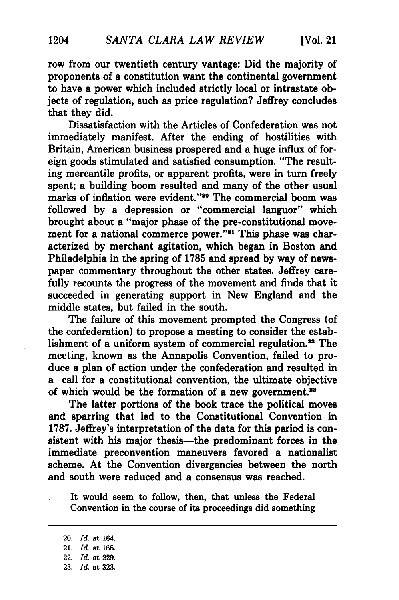row from our twentieth century vantage: Did the majority of proponents of a constitution want the continental government to have a power which included strictly local or intrastate objects of regulation, such as price regulation? Jeffrey concludes that they did.

Dissatisfaction with the Articles of Confederation was not immediately manifest. After the ending of hostilities with Britain, American business prospered and a huge influx of foreign goods stimulated and satisfied consumption. "The resulting mercantile profits, or apparent profits, were in turn freely spent; a building boom resulted and many of the other usual marks of inflation were evident."<sup>20</sup> The commercial boom was followed **by** a depression or "commercial languor" which brought about a "major phase of the pre-constitutional movement for a national commerce power."<sup>21</sup> This phase was characterized **by** merchant agitation, which began in Boston and Philadelphia in the spring of **1785** and spread **by** way of newspaper commentary throughout the other states. Jeffrey carefully recounts the progress of the movement and finds that it succeeded in generating support in New England and the middle states, but failed in the south.

The failure of this movement prompted the Congress (of the confederation) to propose a meeting to consider the establishment of a uniform system of commercial regulation.<sup>22</sup> The meeting, known as the Annapolis Convention, failed to produce a plan of action under the confederation and resulted in a call for a constitutional convention, the ultimate objective of which would be the formation of a new government.<sup>28</sup>

The latter portions of the book trace the political moves and sparring that led to the Constitutional Convention in **1787.** Jeffrey's interpretation of the data for this period is consistent with his major thesis-the predominant forces in the immediate preconvention maneuvers favored a nationalist scheme. At the Convention divergencies between the north and south were reduced and a consensus was reached.

It would seem to follow, then, that unless the Federal Convention in the course of its proceedings did something

<sup>20.</sup> *Id.* at 164.

<sup>21.</sup> *Id.* at 165.

<sup>22.</sup> *Id.* at **229.**

**<sup>23.</sup>** *Id.* at **323.**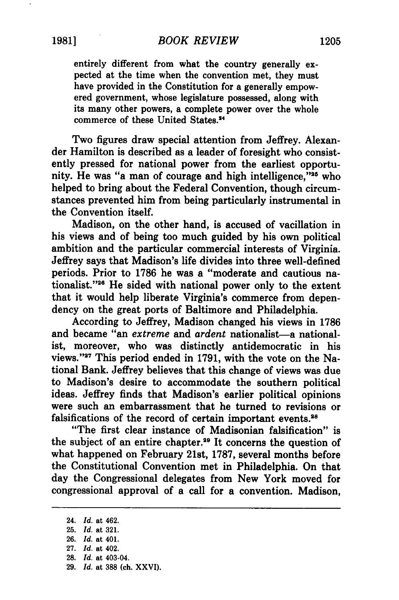entirely different from what the country generally expected at the time when the convention met, they must have provided in the Constitution for a generally empowered government, whose legislature possessed, along with its many other powers, a complete power over the whole commerce of these United States.<sup>24</sup>

Two figures draw special attention from Jeffrey. Alexander Hamilton is described as a leader of foresight who consistently pressed for national power from the earliest opportunity. He was "a man of courage and high intelligence,"<sup>25</sup> who helped to bring about the Federal Convention, though circumstances prevented him from being particularly instrumental in the Convention itself.

Madison, on the other hand, is accused of vacillation in his views and of being too much guided **by** his own political ambition and the particular commercial interests of Virginia. Jeffrey says that Madison's life divides into three well-defined periods. Prior to **1786** he was a "moderate and cautious nationalist."<sup>26</sup> He sided with national power only to the extent that it would help liberate Virginia's commerce from dependency on the great ports of Baltimore and Philadelphia.

According to Jeffrey, Madison changed his views in **1786** and became "an *extreme* and *ardent* nationalist-a nationalist, moreover, who was distinctly antidemocratic in his views."<sup>27</sup> This period ended in 1791, with the vote on the National Bank. Jeffrey believes that this change of views was due to Madison's desire to accommodate the southern political ideas. Jeffrey finds that Madison's earlier political opinions were such an embarrassment that he turned to revisions or falsifications of the record of certain important events.<sup>28</sup>

"The first clear instance of Madisonian falsification" is the subject of an entire chapter.<sup>29</sup> It concerns the question of what happened on February 21st, **1787,** several months before the Constitutional Convention met in Philadelphia. On that day the Congressional delegates from New York moved for congressional approval of a call for a convention. Madison,

<sup>24.</sup> *Id.* at 462.

**<sup>25.</sup>** *Id.* at **321.**

**<sup>26.</sup>** *Id.* at 401.

**<sup>27.</sup>** *Id.* at 402.

**<sup>28.</sup>** *Id.* at 403-04.

**<sup>29.</sup>** *Id.* at **388** (ch. **XXVI).**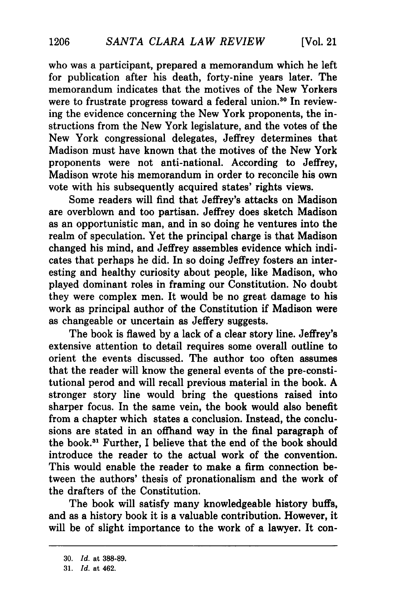who was a participant, prepared a memorandum which he left for publication after his death, forty-nine years later. The memorandum indicates that the motives of the New Yorkers were to frustrate progress toward a federal union.<sup>30</sup> In reviewing the evidence concerning the New York proponents, the instructions from the New York legislature, and the votes of the New York congressional delegates, Jeffrey determines that Madison must have known that the motives of the New York proponents were not anti-national. According to Jeffrey, Madison wrote his memorandum in order to reconcile his own vote with his subsequently acquired states' rights views.

Some readers will find that Jeffrey's attacks on Madison are overblown and too partisan. Jeffrey does sketch Madison as an opportunistic man, and in so doing he ventures into the realm of speculation. Yet the principal charge is that Madison changed his mind, and Jeffrey assembles evidence which indicates that perhaps he did. In so doing Jeffrey fosters an interesting and healthy curiosity about people, like Madison, who played dominant roles in framing our Constitution. No doubt they were complex men. It would be no great damage to his work as principal author of the Constitution if Madison were as changeable or uncertain as Jeffery suggests.

The book is flawed by a lack of a clear story line. Jeffrey's extensive attention to detail requires some overall outline to orient the events discussed. The author too often assumes that the reader will know the general events of the pre-constitutional perod and will recall previous material in the book. **A** stronger story line would bring the questions raised into sharper focus. In the same vein, the book would also benefit from a chapter which states a conclusion. Instead, the conclusions are stated in an offhand way in the final paragraph of the book.3 " Further, I believe that the end of the book should introduce the reader to the actual work of the convention. This would enable the reader to make a firm connection between the authors' thesis of pronationalism and the work of the drafters of the Constitution.

The book will satisfy many knowledgeable history buffs, and as a history book it is a valuable contribution. However, it will be of slight importance to the work of a lawyer. It con-

**<sup>30.</sup>** *Id.* at 388-89.

**<sup>31.</sup>** *Id.* at 462.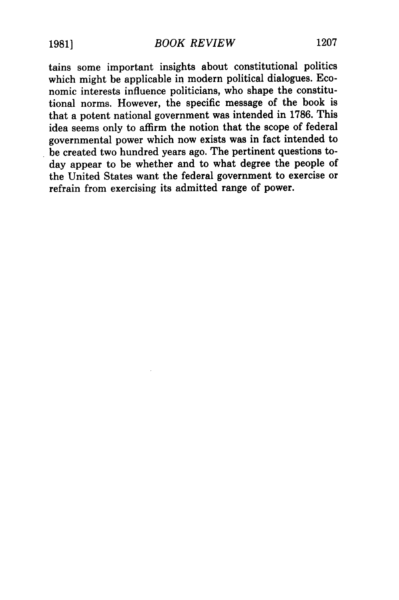tains some important insights about constitutional politics which might be applicable in modern political dialogues. Economic interests influence politicians, who shape the constitutional norms. However, the specific message of the book is that a potent national government was intended in 1786. This idea seems only to affirm the notion that the scope of federal governmental power which now exists was in fact intended to be created two hundred years ago. The pertinent questions today appear to be whether and to what degree the people of the United States want the federal government to exercise or refrain from exercising its admitted range of power.